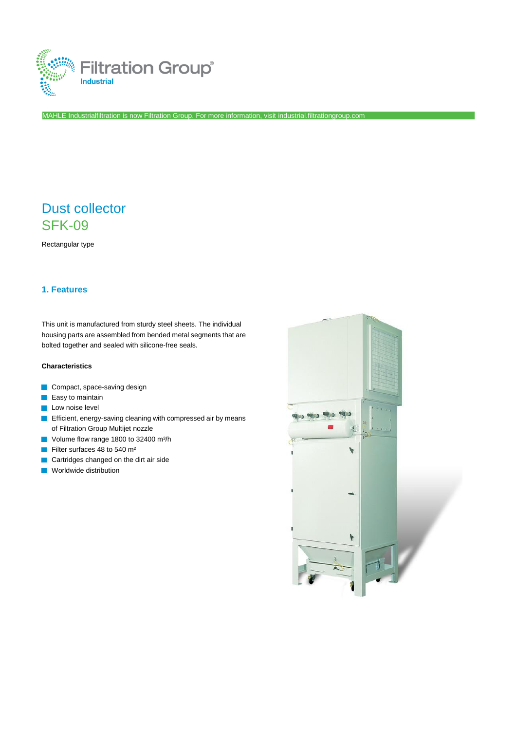

MAHLE Industrialfiltration is now Filtration Group. For more information, visi[t industrial.filtrationgroup.com](http://www.filtrationgroup.com/)

# Dust collector SFK-09

Rectangular type

# **1. Features**

This unit is manufactured from sturdy steel sheets. The individual housing parts are assembled from bended metal segments that are bolted together and sealed with silicone-free seals.

## **Characteristics**

- Compact, space-saving design
- $\blacksquare$  Easy to maintain
- **Low noise level**
- **Efficient, energy-saving cleaning with compressed air by means** of Filtration Group Multijet nozzle
- Volume flow range 1800 to 32400 m<sup>3</sup>/h
- Filter surfaces 48 to 540 m²  $\overline{\mathcal{A}}$
- **Cartridges changed on the dirt air side**
- **Norldwide distribution**

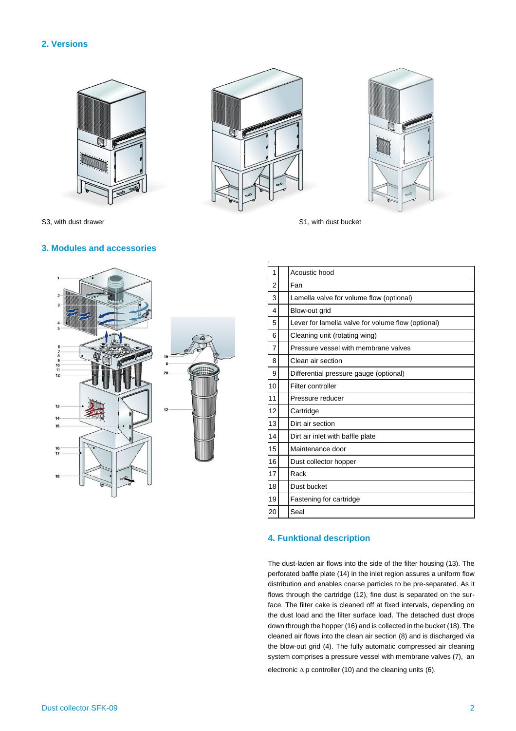## **2. Versions**







S3, with dust drawer S1, with dust bucket

#### **3. Modules and accessories**



| 1<br>Acoustic hood<br>2<br>Fan<br>3<br>Lamella valve for volume flow (optional)<br>Blow-out grid<br>4<br>Lever for lamella valve for volume flow (optional)<br>5<br>6<br>Cleaning unit (rotating wing)<br>Pressure vessel with membrane valves<br>7<br>Clean air section<br>8<br>9<br>Differential pressure gauge (optional)<br>Filter controller<br>10<br>11<br>Pressure reducer<br>12<br>Cartridge<br>13<br>Dirt air section<br>14<br>Dirt air inlet with baffle plate<br>15<br>Maintenance door<br>16<br>Dust collector hopper<br>17<br>Rack<br>18<br>Dust bucket<br>19<br>Fastening for cartridge |    |      |  |  |  |  |  |
|-------------------------------------------------------------------------------------------------------------------------------------------------------------------------------------------------------------------------------------------------------------------------------------------------------------------------------------------------------------------------------------------------------------------------------------------------------------------------------------------------------------------------------------------------------------------------------------------------------|----|------|--|--|--|--|--|
|                                                                                                                                                                                                                                                                                                                                                                                                                                                                                                                                                                                                       |    |      |  |  |  |  |  |
|                                                                                                                                                                                                                                                                                                                                                                                                                                                                                                                                                                                                       |    |      |  |  |  |  |  |
|                                                                                                                                                                                                                                                                                                                                                                                                                                                                                                                                                                                                       |    |      |  |  |  |  |  |
|                                                                                                                                                                                                                                                                                                                                                                                                                                                                                                                                                                                                       |    |      |  |  |  |  |  |
|                                                                                                                                                                                                                                                                                                                                                                                                                                                                                                                                                                                                       |    |      |  |  |  |  |  |
|                                                                                                                                                                                                                                                                                                                                                                                                                                                                                                                                                                                                       |    |      |  |  |  |  |  |
|                                                                                                                                                                                                                                                                                                                                                                                                                                                                                                                                                                                                       |    |      |  |  |  |  |  |
|                                                                                                                                                                                                                                                                                                                                                                                                                                                                                                                                                                                                       |    |      |  |  |  |  |  |
|                                                                                                                                                                                                                                                                                                                                                                                                                                                                                                                                                                                                       |    |      |  |  |  |  |  |
|                                                                                                                                                                                                                                                                                                                                                                                                                                                                                                                                                                                                       |    |      |  |  |  |  |  |
|                                                                                                                                                                                                                                                                                                                                                                                                                                                                                                                                                                                                       |    |      |  |  |  |  |  |
|                                                                                                                                                                                                                                                                                                                                                                                                                                                                                                                                                                                                       |    |      |  |  |  |  |  |
|                                                                                                                                                                                                                                                                                                                                                                                                                                                                                                                                                                                                       |    |      |  |  |  |  |  |
|                                                                                                                                                                                                                                                                                                                                                                                                                                                                                                                                                                                                       |    |      |  |  |  |  |  |
|                                                                                                                                                                                                                                                                                                                                                                                                                                                                                                                                                                                                       |    |      |  |  |  |  |  |
|                                                                                                                                                                                                                                                                                                                                                                                                                                                                                                                                                                                                       |    |      |  |  |  |  |  |
|                                                                                                                                                                                                                                                                                                                                                                                                                                                                                                                                                                                                       |    |      |  |  |  |  |  |
|                                                                                                                                                                                                                                                                                                                                                                                                                                                                                                                                                                                                       |    |      |  |  |  |  |  |
|                                                                                                                                                                                                                                                                                                                                                                                                                                                                                                                                                                                                       |    |      |  |  |  |  |  |
|                                                                                                                                                                                                                                                                                                                                                                                                                                                                                                                                                                                                       | 20 | Seal |  |  |  |  |  |

### **4. Funktional description**

The dust-laden air flows into the side of the filter housing (13). The perforated baffle plate (14) in the inlet region assures a uniform flow distribution and enables coarse particles to be pre-separated. As it flows through the cartridge (12), fine dust is separated on the surface. The filter cake is cleaned off at fixed intervals, depending on the dust load and the filter surface load. The detached dust drops down through the hopper (16) and is collected in the bucket (18). The cleaned air flows into the clean air section (8) and is discharged via the blow-out grid (4). The fully automatic compressed air cleaning system comprises a pressure vessel with membrane valves (7), an electronic  $\Delta p$  controller (10) and the cleaning units (6).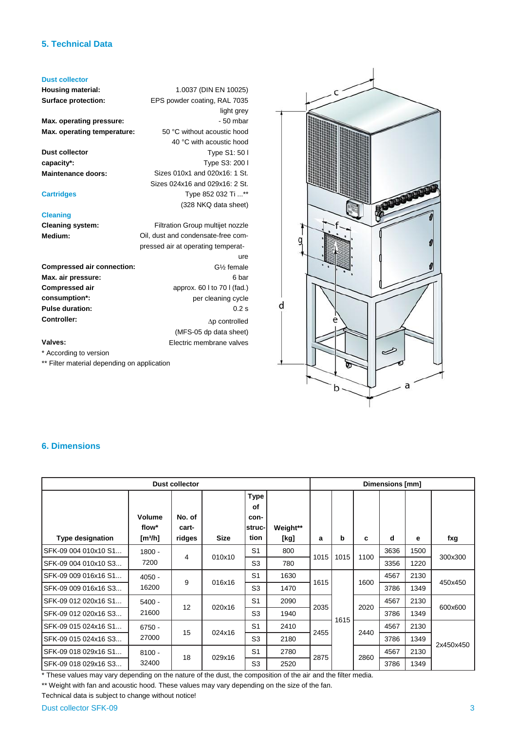# **5. Technical Data**

## **Dust collector**

**Housing material: Surface protection:**

**Max. operating pressure: Max. operating temperature:**

**Dust collector capacity\*: Maintenance doors:**

#### **Cartridges**

#### **Cleaning**

**Cleaning system: Medium:**

|                                   | ure                                   |
|-----------------------------------|---------------------------------------|
| <b>Compressed air connection:</b> | $G2$ female                           |
| Max. air pressure:                | 6 bar                                 |
| <b>Compressed air</b>             | approx. $60 \mid$ to $70 \mid$ (fad.) |
| consumption*:                     | per cleaning cycle                    |
| <b>Pulse duration:</b>            | $0.2$ s                               |
| <b>Controller:</b>                | $\Delta p$ controlled                 |
|                                   | (MFS-05 dp data sheet)                |
| Valves:                           | Electric membrane valves              |

1.0037 (DIN EN 10025) EPS powder coating, RAL 7035

> 50 °C without acoustic hood 40 °C with acoustic hood

Sizes 010x1 and 020x16: 1 St. Sizes 024x16 and 029x16: 2 St.

Filtration Group multijet nozzle Oil, dust and condensate-free compressed air at operating temperat-

Type 852 032 Ti ...\*\* (328 NKQ data sheet)

light grey - 50 mbar

Type S1: 50 l Type S3: 200 l

#### **Valves:**

\* According to version

\*\* Filter material depending on application



# **6. Dimensions**

| <b>Dust collector</b>   |                                        |                           |             |                                             |                  |      | Dimensions [mm] |      |      |      |           |  |
|-------------------------|----------------------------------------|---------------------------|-------------|---------------------------------------------|------------------|------|-----------------|------|------|------|-----------|--|
| <b>Type designation</b> | Volume<br>flow*<br>[m <sup>3</sup> /h] | No. of<br>cart-<br>ridges | <b>Size</b> | <b>Type</b><br>оf<br>con-<br>struc-<br>tion | Weight**<br>[kg] | a    | b               | c    | d    | е    | fxg       |  |
| SFK-09 004 010x10 S1    | $1800 -$<br>7200                       | 4                         | 010x10      | S <sub>1</sub>                              | 800              | 1015 | 1015            | 1100 | 3636 | 1500 | 300x300   |  |
| SFK-09 004 010x10 S3    |                                        |                           |             | S <sub>3</sub>                              | 780              |      |                 |      | 3356 | 1220 |           |  |
| SFK-09 009 016x16 S1    | $4050 -$<br>16200                      | 9                         | 016x16      | S <sub>1</sub>                              | 1630             | 1615 |                 | 1600 | 4567 | 2130 | 450x450   |  |
| SFK-09 009 016x16 S3    |                                        |                           |             | S <sub>3</sub>                              | 1470             |      |                 |      | 3786 | 1349 |           |  |
| SFK-09 012 020x16 S1    | $5400 -$                               | 12                        | 020x16      | S <sub>1</sub>                              | 2090             | 2035 |                 | 2020 | 4567 | 2130 | 600x600   |  |
| SFK-09 012 020x16 S3    | 21600                                  |                           |             | S <sub>3</sub>                              | 1940             |      | 1615            |      | 3786 | 1349 |           |  |
| SFK-09 015 024x16 S1    | $6750 -$                               | 15                        | 024x16      | S <sub>1</sub>                              | 2410             |      |                 | 2440 | 4567 | 2130 | 2x450x450 |  |
| SFK-09 015 024x16 S3    | 27000                                  |                           |             | S <sub>3</sub>                              | 2180             | 2455 |                 |      | 3786 | 1349 |           |  |
| SFK-09 018 029x16 S1    | $8100 -$                               |                           | 029x16      | S <sub>1</sub>                              | 2780             | 2875 |                 | 2860 | 4567 | 2130 |           |  |
| SFK-09 018 029x16 S3    | 32400                                  | 18                        |             | S <sub>3</sub>                              | 2520             |      |                 |      | 3786 | 1349 |           |  |

\* These values may vary depending on the nature of the dust, the composition of the air and the filter media.

\*\* Weight with fan and acoustic hood. These values may vary depending on the size of the fan.

Technical data is subject to change without notice!